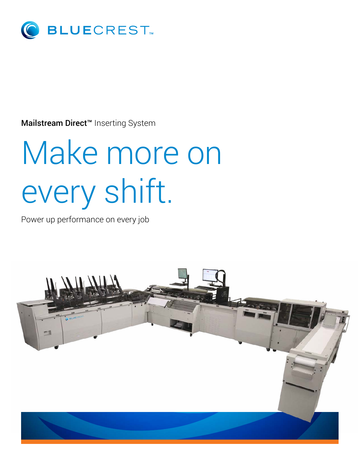

Mailstream Direct<sup>™</sup> Inserting System

# Make more on every shift.

Power up performance on every job

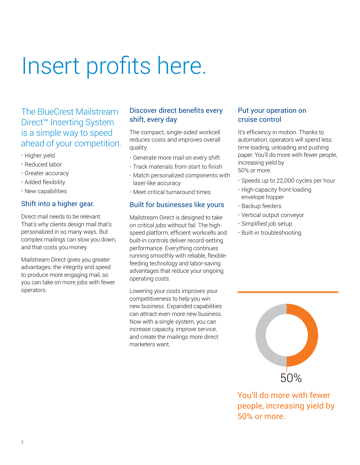# Insert profits here.

The BlueCrest Mailstream Direct™ Inserting System is a simple way to speed ahead of your competition.

- Higher yield
- Reduced labor
- Greater accuracy
- Added flexibility
- New capabilities

#### Shift into a higher gear.

Direct mail needs to be relevant. That's why clients design mail that's personalized in so many ways. But complex mailings can slow you down, and that costs you money.

Mailstream Direct gives you greater advantages: the integrity and speed to produce more engaging mail, so you can take on more jobs with fewer operators.

### Discover direct benefits every shift, every day

The compact, single-sided workcell reduces costs and improves overall quality.

- Generate more mail on every shift
- Track materials from start to finish
- Match personalized components with laser-like accuracy
- Meet critical turnaround times

#### Built for businesses like yours

Mailstream Direct is designed to take on critical jobs without fail. The highspeed platform, efficient workcells and built-in controls deliver record-setting performance. Everything continues running smoothly with reliable, flexiblefeeding technology and labor-saving advantages that reduce your ongoing operating costs.

Lowering your costs improves your competitiveness to help you win new business. Expanded capabilities can attract even more new business. Now with a single system, you can increase capacity, improve service, and create the mailings more direct marketers want.

#### Put your operation on cruise control

It's efficiency in motion. Thanks to automation, operators will spend less time loading, unloading and pushing paper. You'll do more with fewer people, increasing yield by 50% or more.

- Speeds up to 22,000 cycles per hour
- High-capacity front-loading envelope hopper
- Backup feeders
- Vertical output conveyor
- Simplified job setup
- Built-in troubleshooting



You'll do more with fewer people, increasing yield by 50% or more.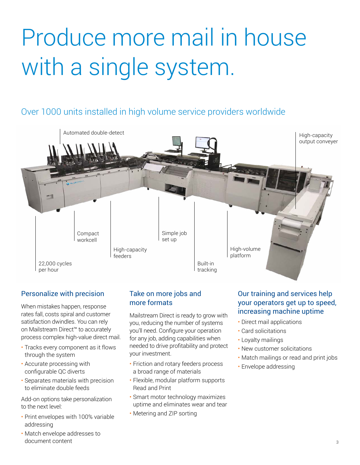# Produce more mail in house with a single system.

# Over 1000 units installed in high volume service providers worldwide



## Personalize with precision

When mistakes happen, response rates fall, costs spiral and customer satisfaction dwindles. You can rely on Mailstream Direct™ to accurately process complex high-value direct mail.

- Tracks every component as it flows through the system
- Accurate processing with configurable QC diverts
- Separates materials with precision to eliminate double feeds

Add-on options take personalization to the next level:

- Print envelopes with 100% variable addressing
- Match envelope addresses to document content

## Take on more jobs and more formats

Mailstream Direct is ready to grow with you, reducing the number of systems you'll need. Configure your operation for any job, adding capabilities when needed to drive profitability and protect your investment.

- Friction and rotary feeders process a broad range of materials
- Flexible, modular platform supports Read and Print
- Smart motor technology maximizes uptime and eliminates wear and tear
- Metering and ZIP sorting

### Our training and services help your operators get up to speed, increasing machine uptime

- Direct mail applications
- Card solicitations
- Loyalty mailings
- New customer solicitations
- Match mailings or read and print jobs
- Envelope addressing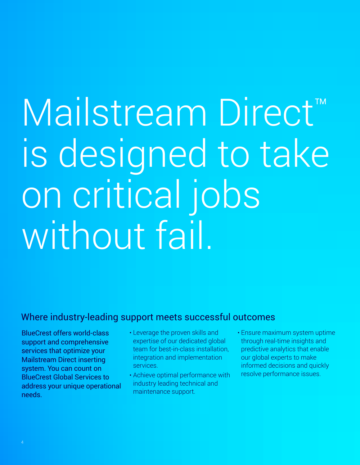# Mailstream Direct™ is designed to take on critical jobs without fail.

# Where industry-leading support meets successful outcomes

BlueCrest offers world-class support and comprehensive services that optimize your Mailstream Direct inserting system. You can count on BlueCrest Global Services to address your unique operational needs.

- Leverage the proven skills and expertise of our dedicated global team for best-in-class installation, integration and implementation services.
- Achieve optimal performance with industry leading technical and maintenance support.
- Ensure maximum system uptime through real-time insights and predictive analytics that enable our global experts to make informed decisions and quickly resolve performance issues.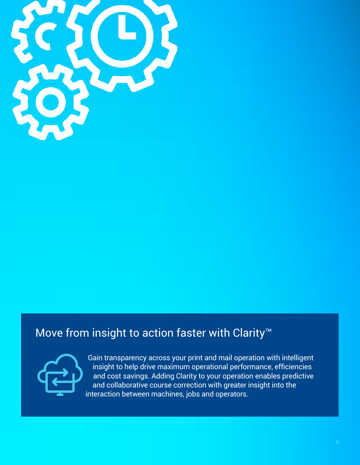

# Move from insight to action faster with Clarity<sup>™</sup>



Gain transparency across your print and mail operation with intelligent insight to help drive maximum operational performance, efficiencies and cost savings. Adding Clarity to your operation enables predictive and collaborative course correction with greater insight into the interaction between machines, jobs and operators.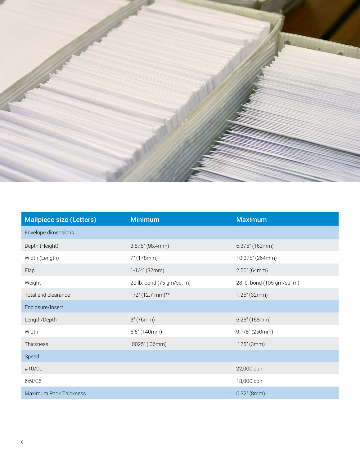

| <b>Mailpiece size (Letters)</b> | <b>Minimum</b>            | <b>Maximum</b>             |
|---------------------------------|---------------------------|----------------------------|
| Envelope dimensions             |                           |                            |
| Depth (Height)                  | 3.875" (98.4mm)           | 6.375" (162mm)             |
| Width (Length)                  | 7" (178mm)                | 10.375" (264mm)            |
| Flap                            | $1-1/4$ " (32mm)          | 2.50''(64mm)               |
| Weight                          | 20 lb. bond (75 gm/sq. m) | 28 lb. bond (105 gm/sq. m) |
| Total end clearance             | $1/2$ " (12.7 mm)**       | $1.25''$ (32mm)            |
| Enclosure/Insert                |                           |                            |
| Length/Depth                    | 3''(76mm)                 | $6.25''$ (158mm)           |
| Width                           | 5.5''(140mm)              | 9-7/8" (250mm)             |
| Thickness                       | $.0025''$ (.06mm)         | $.125''$ (3mm)             |
| Speed                           |                           |                            |
| #10/DL                          |                           | 22,000 cph                 |
| 6x9/C5                          |                           | 18,000 cph                 |
| Maximum Pack Thickness          |                           | $0.32''$ (8mm)             |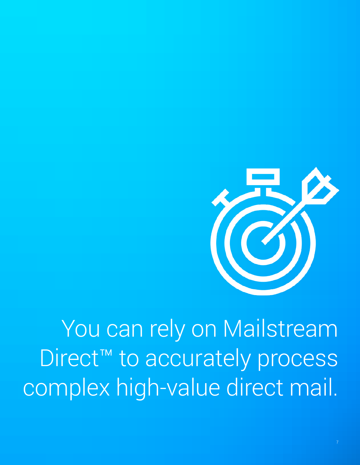

You can rely on Mailstream Direct™ to accurately process complex high-value direct mail.